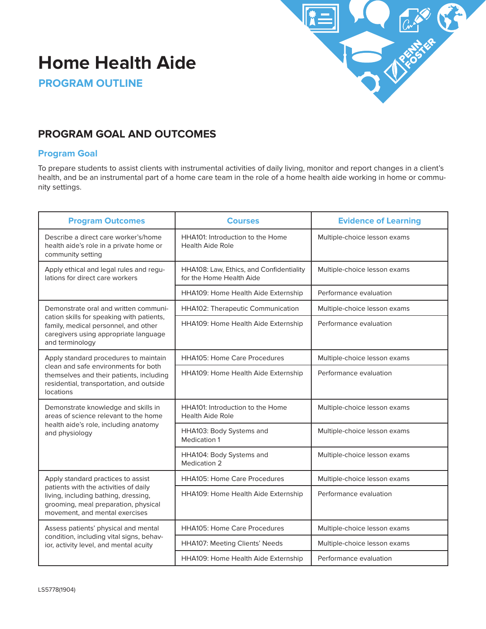# **Home Health Aide**



**PROGRAM OUTLINE**

# **PROGRAM GOAL AND OUTCOMES**

### **Program Goal**

To prepare students to assist clients with instrumental activities of daily living, monitor and report changes in a client's health, and be an instrumental part of a home care team in the role of a home health aide working in home or community settings.

| <b>Program Outcomes</b>                                                                                                                                 | <b>Courses</b>                                                       | <b>Evidence of Learning</b>  |
|---------------------------------------------------------------------------------------------------------------------------------------------------------|----------------------------------------------------------------------|------------------------------|
| Describe a direct care worker's/home<br>health aide's role in a private home or<br>community setting                                                    | HHA101: Introduction to the Home<br><b>Health Aide Role</b>          | Multiple-choice lesson exams |
| Apply ethical and legal rules and regu-<br>lations for direct care workers                                                                              | HHA108: Law, Ethics, and Confidentiality<br>for the Home Health Aide | Multiple-choice lesson exams |
|                                                                                                                                                         | HHA109: Home Health Aide Externship                                  | Performance evaluation       |
| Demonstrate oral and written communi-                                                                                                                   | HHA102: Therapeutic Communication                                    | Multiple-choice lesson exams |
| cation skills for speaking with patients,<br>family, medical personnel, and other<br>caregivers using appropriate language<br>and terminology           | HHA109: Home Health Aide Externship                                  | Performance evaluation       |
| Apply standard procedures to maintain                                                                                                                   | <b>HHA105: Home Care Procedures</b>                                  | Multiple-choice lesson exams |
| clean and safe environments for both<br>themselves and their patients, including<br>residential, transportation, and outside<br>locations               | HHA109: Home Health Aide Externship                                  | Performance evaluation       |
| Demonstrate knowledge and skills in<br>areas of science relevant to the home                                                                            | HHA101: Introduction to the Home<br><b>Health Aide Role</b>          | Multiple-choice lesson exams |
| health aide's role, including anatomy<br>and physiology                                                                                                 | HHA103: Body Systems and<br>Medication 1                             | Multiple-choice lesson exams |
|                                                                                                                                                         | HHA104: Body Systems and<br><b>Medication 2</b>                      | Multiple-choice lesson exams |
| Apply standard practices to assist                                                                                                                      | <b>HHA105: Home Care Procedures</b>                                  | Multiple-choice lesson exams |
| patients with the activities of daily<br>living, including bathing, dressing,<br>grooming, meal preparation, physical<br>movement, and mental exercises | HHA109: Home Health Aide Externship                                  | Performance evaluation       |
| Assess patients' physical and mental                                                                                                                    | <b>HHA105: Home Care Procedures</b>                                  | Multiple-choice lesson exams |
| condition, including vital signs, behav-<br>ior, activity level, and mental acuity                                                                      | HHA107: Meeting Clients' Needs                                       | Multiple-choice lesson exams |
|                                                                                                                                                         | HHA109: Home Health Aide Externship                                  | Performance evaluation       |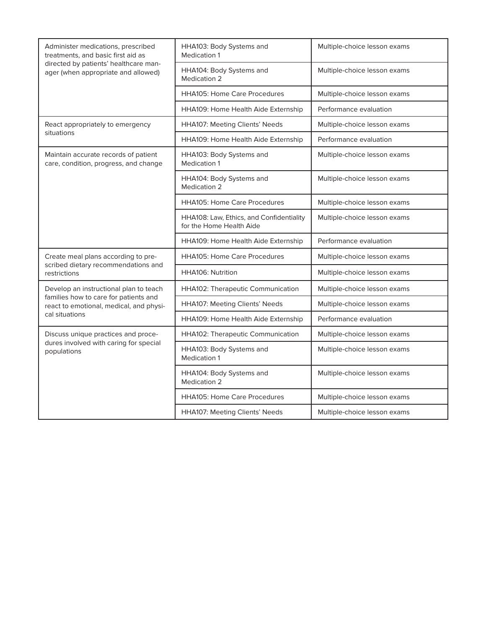| Administer medications, prescribed<br>treatments, and basic first aid as                                                                     | HHA103: Body Systems and<br><b>Medication 1</b>                      | Multiple-choice lesson exams |
|----------------------------------------------------------------------------------------------------------------------------------------------|----------------------------------------------------------------------|------------------------------|
| directed by patients' healthcare man-<br>ager (when appropriate and allowed)                                                                 | HHA104: Body Systems and<br><b>Medication 2</b>                      | Multiple-choice lesson exams |
|                                                                                                                                              | <b>HHA105: Home Care Procedures</b>                                  | Multiple-choice lesson exams |
|                                                                                                                                              | HHA109: Home Health Aide Externship                                  | Performance evaluation       |
| React appropriately to emergency                                                                                                             | HHA107: Meeting Clients' Needs                                       | Multiple-choice lesson exams |
| situations                                                                                                                                   | HHA109: Home Health Aide Externship                                  | Performance evaluation       |
| Maintain accurate records of patient<br>care, condition, progress, and change                                                                | HHA103: Body Systems and<br><b>Medication 1</b>                      | Multiple-choice lesson exams |
|                                                                                                                                              | HHA104: Body Systems and<br><b>Medication 2</b>                      | Multiple-choice lesson exams |
|                                                                                                                                              | <b>HHA105: Home Care Procedures</b>                                  | Multiple-choice lesson exams |
|                                                                                                                                              | HHA108: Law, Ethics, and Confidentiality<br>for the Home Health Aide | Multiple-choice lesson exams |
|                                                                                                                                              | HHA109: Home Health Aide Externship                                  | Performance evaluation       |
| Create meal plans according to pre-<br>scribed dietary recommendations and<br>restrictions                                                   | <b>HHA105: Home Care Procedures</b>                                  | Multiple-choice lesson exams |
|                                                                                                                                              | HHA106: Nutrition                                                    | Multiple-choice lesson exams |
| Develop an instructional plan to teach<br>families how to care for patients and<br>react to emotional, medical, and physi-<br>cal situations | HHA102: Therapeutic Communication                                    | Multiple-choice lesson exams |
|                                                                                                                                              | HHA107: Meeting Clients' Needs                                       | Multiple-choice lesson exams |
|                                                                                                                                              | HHA109: Home Health Aide Externship                                  | Performance evaluation       |
| Discuss unique practices and proce-                                                                                                          | HHA102: Therapeutic Communication                                    | Multiple-choice lesson exams |
| dures involved with caring for special<br>populations                                                                                        | HHA103: Body Systems and<br><b>Medication 1</b>                      | Multiple-choice lesson exams |
|                                                                                                                                              | HHA104: Body Systems and<br>Medication 2                             | Multiple-choice lesson exams |
|                                                                                                                                              | <b>HHA105: Home Care Procedures</b>                                  | Multiple-choice lesson exams |
|                                                                                                                                              | HHA107: Meeting Clients' Needs                                       | Multiple-choice lesson exams |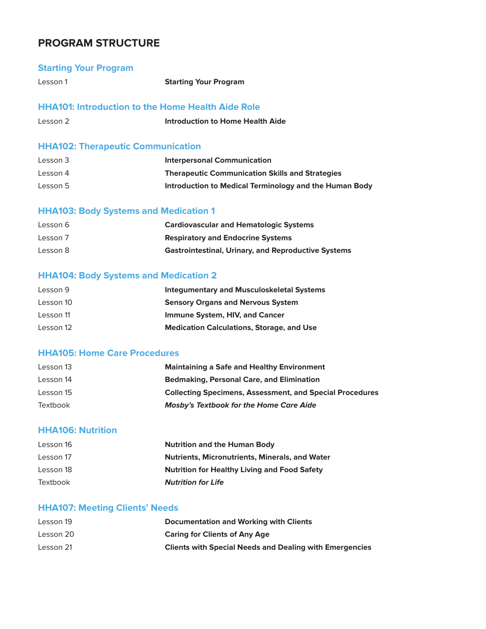### **PROGRAM STRUCTURE**

### **Starting Your Program**

Lesson 1 **Starting Your Program**

### **HHA101: Introduction to the Home Health Aide Role**

| Lesson 2 | Introduction to Home Health Aide |
|----------|----------------------------------|
|          |                                  |

### **HHA102: Therapeutic Communication**

| Lesson 3 | <b>Interpersonal Communication</b>                     |
|----------|--------------------------------------------------------|
| Lesson 4 | <b>Therapeutic Communication Skills and Strategies</b> |
| Lesson 5 | Introduction to Medical Terminology and the Human Body |

### **HHA103: Body Systems and Medication 1**

| Lesson 6 | <b>Cardiovascular and Hematologic Systems</b>              |
|----------|------------------------------------------------------------|
| Lesson 7 | <b>Respiratory and Endocrine Systems</b>                   |
| Lesson 8 | <b>Gastrointestinal, Urinary, and Reproductive Systems</b> |

### **HHA104: Body Systems and Medication 2**

| Lesson 9  | <b>Integumentary and Musculoskeletal Systems</b> |
|-----------|--------------------------------------------------|
| Lesson 10 | <b>Sensory Organs and Nervous System</b>         |
| Lesson 11 | Immune System, HIV, and Cancer                   |
| Lesson 12 | <b>Medication Calculations, Storage, and Use</b> |

### **HHA105: Home Care Procedures**

| <b>Maintaining a Safe and Healthy Environment</b><br>Lesson 13               |  |
|------------------------------------------------------------------------------|--|
| <b>Bedmaking, Personal Care, and Elimination</b><br>Lesson 14                |  |
| <b>Collecting Specimens, Assessment, and Special Procedures</b><br>Lesson 15 |  |
| <b>Mosby's Textbook for the Home Care Aide</b><br>Textbook                   |  |

### **HHA106: Nutrition**

| Lesson 16 | <b>Nutrition and the Human Body</b>                   |
|-----------|-------------------------------------------------------|
| Lesson 17 | <b>Nutrients, Micronutrients, Minerals, and Water</b> |
| Lesson 18 | <b>Nutrition for Healthy Living and Food Safety</b>   |
| Textbook  | <b>Nutrition for Life</b>                             |

### **HHA107: Meeting Clients' Needs**

| Lesson 19 | Documentation and Working with Clients                         |
|-----------|----------------------------------------------------------------|
| Lesson 20 | <b>Caring for Clients of Any Age</b>                           |
| Lesson 21 | <b>Clients with Special Needs and Dealing with Emergencies</b> |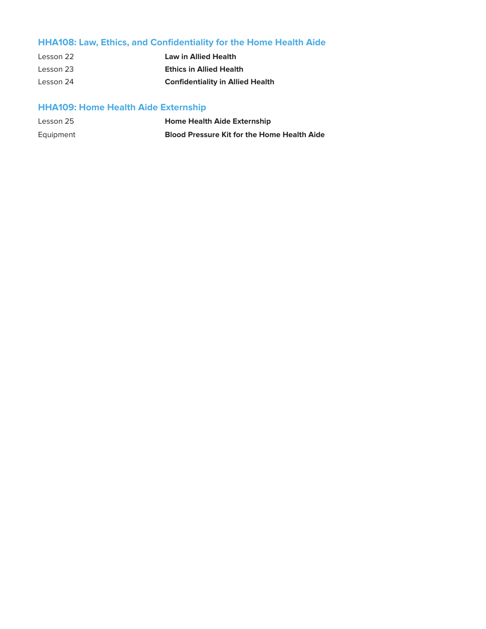# **HHA108: Law, Ethics, and Confidentiality for the Home Health Aide**

| Lesson 22 | <b>Law in Allied Health</b>             |
|-----------|-----------------------------------------|
| Lesson 23 | <b>Ethics in Allied Health</b>          |
| Lesson 24 | <b>Confidentiality in Allied Health</b> |

# **HHA109: Home Health Aide Externship**

| Lesson 25 | <b>Home Health Aide Externship</b>                 |
|-----------|----------------------------------------------------|
| Equipment | <b>Blood Pressure Kit for the Home Health Aide</b> |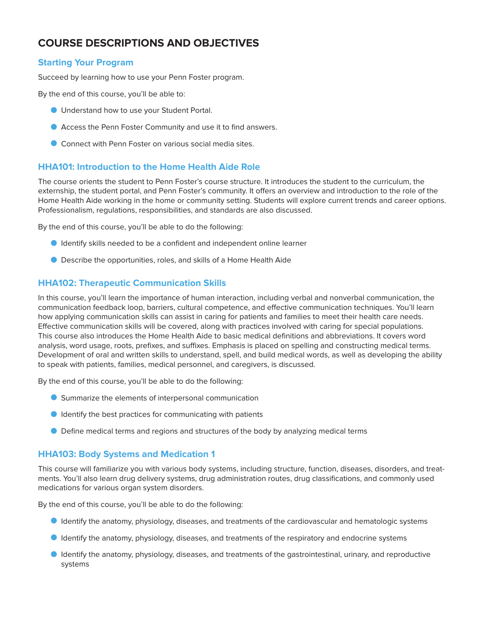# **COURSE DESCRIPTIONS AND OBJECTIVES**

### **Starting Your Program**

Succeed by learning how to use your Penn Foster program.

By the end of this course, you'll be able to:

- O Understand how to use your Student Portal.
- O Access the Penn Foster Community and use it to find answers.
- O Connect with Penn Foster on various social media sites.

### **HHA101: Introduction to the Home Health Aide Role**

The course orients the student to Penn Foster's course structure. It introduces the student to the curriculum, the externship, the student portal, and Penn Foster's community. It offers an overview and introduction to the role of the Home Health Aide working in the home or community setting. Students will explore current trends and career options. Professionalism, regulations, responsibilities, and standards are also discussed.

By the end of this course, you'll be able to do the following:

- O Identify skills needed to be a confident and independent online learner
- O Describe the opportunities, roles, and skills of a Home Health Aide

### **HHA102: Therapeutic Communication Skills**

In this course, you'll learn the importance of human interaction, including verbal and nonverbal communication, the communication feedback loop, barriers, cultural competence, and effective communication techniques. You'll learn how applying communication skills can assist in caring for patients and families to meet their health care needs. Effective communication skills will be covered, along with practices involved with caring for special populations. This course also introduces the Home Health Aide to basic medical definitions and abbreviations. It covers word analysis, word usage, roots, prefixes, and suffixes. Emphasis is placed on spelling and constructing medical terms. Development of oral and written skills to understand, spell, and build medical words, as well as developing the ability to speak with patients, families, medical personnel, and caregivers, is discussed.

By the end of this course, you'll be able to do the following:

- O Summarize the elements of interpersonal communication
- O Identify the best practices for communicating with patients
- O Define medical terms and regions and structures of the body by analyzing medical terms

### **HHA103: Body Systems and Medication 1**

This course will familiarize you with various body systems, including structure, function, diseases, disorders, and treatments. You'll also learn drug delivery systems, drug administration routes, drug classifications, and commonly used medications for various organ system disorders.

By the end of this course, you'll be able to do the following:

- O Identify the anatomy, physiology, diseases, and treatments of the cardiovascular and hematologic systems
- **O** Identify the anatomy, physiology, diseases, and treatments of the respiratory and endocrine systems
- O Identify the anatomy, physiology, diseases, and treatments of the gastrointestinal, urinary, and reproductive systems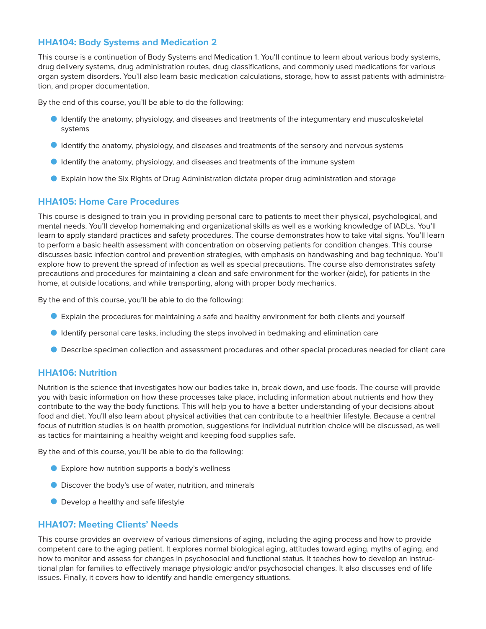### **HHA104: Body Systems and Medication 2**

This course is a continuation of Body Systems and Medication 1. You'll continue to learn about various body systems, drug delivery systems, drug administration routes, drug classifications, and commonly used medications for various organ system disorders. You'll also learn basic medication calculations, storage, how to assist patients with administration, and proper documentation.

By the end of this course, you'll be able to do the following:

- O Identify the anatomy, physiology, and diseases and treatments of the integumentary and musculoskeletal systems
- O Identify the anatomy, physiology, and diseases and treatments of the sensory and nervous systems
- O Identify the anatomy, physiology, and diseases and treatments of the immune system
- O Explain how the Six Rights of Drug Administration dictate proper drug administration and storage

#### **HHA105: Home Care Procedures**

This course is designed to train you in providing personal care to patients to meet their physical, psychological, and mental needs. You'll develop homemaking and organizational skills as well as a working knowledge of IADLs. You'll learn to apply standard practices and safety procedures. The course demonstrates how to take vital signs. You'll learn to perform a basic health assessment with concentration on observing patients for condition changes. This course discusses basic infection control and prevention strategies, with emphasis on handwashing and bag technique. You'll explore how to prevent the spread of infection as well as special precautions. The course also demonstrates safety precautions and procedures for maintaining a clean and safe environment for the worker (aide), for patients in the home, at outside locations, and while transporting, along with proper body mechanics.

By the end of this course, you'll be able to do the following:

- O Explain the procedures for maintaining a safe and healthy environment for both clients and yourself
- O Identify personal care tasks, including the steps involved in bedmaking and elimination care
- O Describe specimen collection and assessment procedures and other special procedures needed for client care

### **HHA106: Nutrition**

Nutrition is the science that investigates how our bodies take in, break down, and use foods. The course will provide you with basic information on how these processes take place, including information about nutrients and how they contribute to the way the body functions. This will help you to have a better understanding of your decisions about food and diet. You'll also learn about physical activities that can contribute to a healthier lifestyle. Because a central focus of nutrition studies is on health promotion, suggestions for individual nutrition choice will be discussed, as well as tactics for maintaining a healthy weight and keeping food supplies safe.

By the end of this course, you'll be able to do the following:

- Explore how nutrition supports a body's wellness
- O Discover the body's use of water, nutrition, and minerals
- **O** Develop a healthy and safe lifestyle

#### **HHA107: Meeting Clients' Needs**

This course provides an overview of various dimensions of aging, including the aging process and how to provide competent care to the aging patient. It explores normal biological aging, attitudes toward aging, myths of aging, and how to monitor and assess for changes in psychosocial and functional status. It teaches how to develop an instructional plan for families to effectively manage physiologic and/or psychosocial changes. It also discusses end of life issues. Finally, it covers how to identify and handle emergency situations.